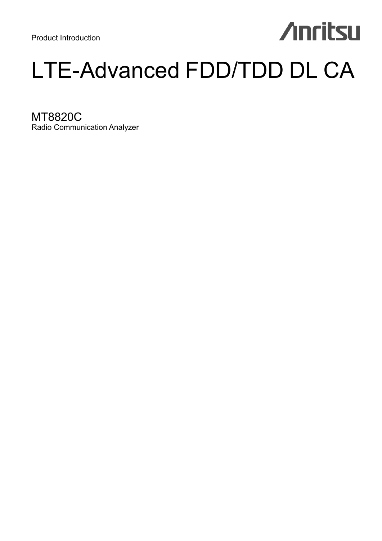Product Introduction

# **Anritsu**

# LTE-Advanced FDD/TDD DL CA

MT8820C Radio Communication Analyzer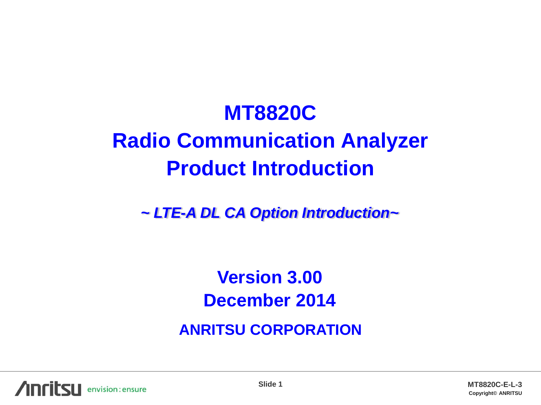## **MT8820C Radio Communication Analyzer Product Introduction**

*~ LTE-A DL CA Option Introduction~*

**Version 3.00 December 2014**

**ANRITSU CORPORATION**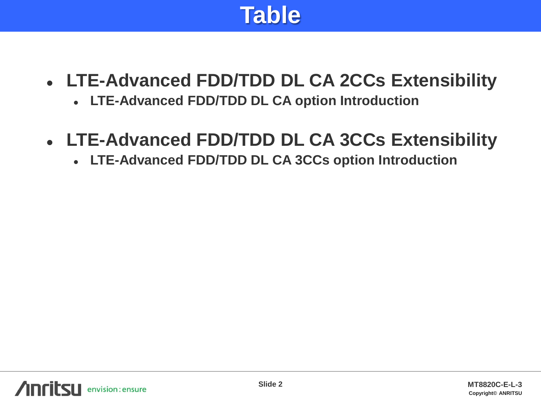## **Table**

## **LTE-Advanced FDD/TDD DL CA 2CCs Extensibility**

**LTE-Advanced FDD/TDD DL CA option Introduction**

## **LTE-Advanced FDD/TDD DL CA 3CCs Extensibility**

**LTE-Advanced FDD/TDD DL CA 3CCs option Introduction**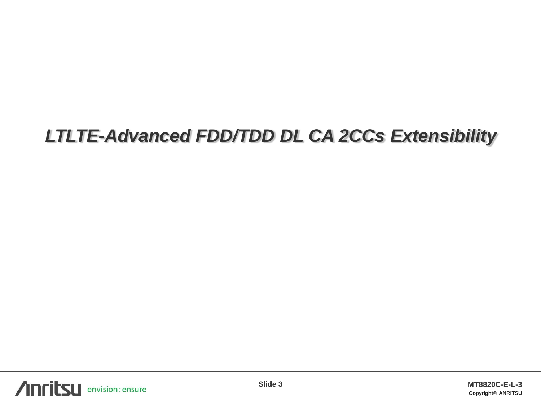## *LTLTE-Advanced FDD/TDD DL CA 2CCs Extensibility*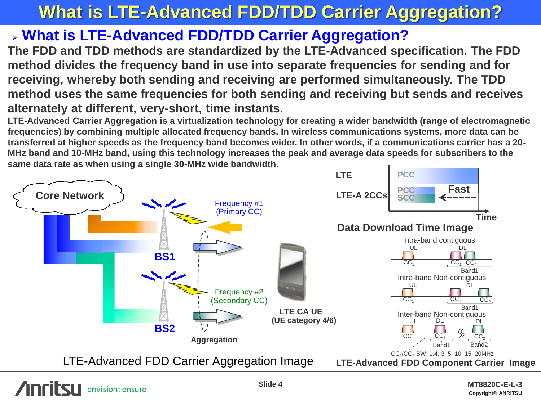## **What is LTE-Advanced FDD/TDD Carrier Aggregation?**

### **What is LTE-Advanced FDD/TDD Carrier Aggregation?**

**The FDD and TDD methods are standardized by the LTE-Advanced specification. The FDD method divides the frequency band in use into separate frequencies for sending and for receiving, whereby both sending and receiving are performed simultaneously. The TDD method uses the same frequencies for both sending and receiving but sends and receives alternately at different, very-short, time instants.** 

**LTE-Advanced Carrier Aggregation is a virtualization technology for creating a wider bandwidth (range of electromagnetic frequencies) by combining multiple allocated frequency bands. In wireless communications systems, more data can be transferred at higher speeds as the frequency band becomes wider. In other words, if a communications carrier has a 20- MHz band and 10-MHz band, using this technology increases the peak and average data speeds for subscribers to the same data rate as when using a single 30-MHz wide bandwidth.**



envision: ensure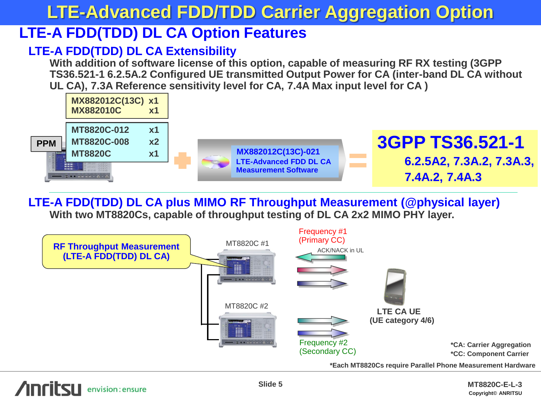## **LTE-Advanced FDD/TDD Carrier Aggregation Option**

### **LTE-A FDD(TDD) DL CA Option Features**

### **LTE-A FDD(TDD) DL CA Extensibility**

**With addition of software license of this option, capable of measuring RF RX testing (3GPP TS36.521-1 6.2.5A.2 Configured UE transmitted Output Power for CA (inter-band DL CA without UL CA), 7.3A Reference sensitivity level for CA, 7.4A Max input level for CA )** 



**LTE-A FDD(TDD) DL CA plus MIMO RF Throughput Measurement (@physical layer) With two MT8820Cs, capable of throughput testing of DL CA 2x2 MIMO PHY layer.**

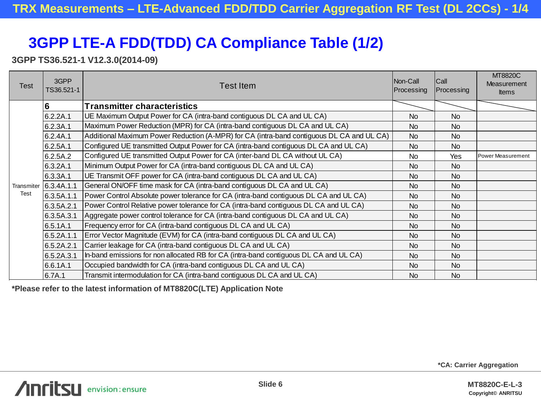### **3GPP LTE-A FDD(TDD) CA Compliance Table (1/2)**

### **3GPP TS36.521-1 V12.3.0(2014-09)**

| Test               | 3GPP<br>TS36.521-1 | Test Item                                                                                 | Non-Call<br>Processing | Call<br>Processing | <b>MT8820C</b><br>Measurement<br><b>Items</b> |
|--------------------|--------------------|-------------------------------------------------------------------------------------------|------------------------|--------------------|-----------------------------------------------|
| Transmiter<br>Test | 6                  | <b>Transmitter characteristics</b>                                                        |                        |                    |                                               |
|                    | 6.2.2A.1           | UE Maximum Output Power for CA (intra-band contiguous DL CA and UL CA)                    | <b>No</b>              | <b>No</b>          |                                               |
|                    | 6.2.3A.1           | Maximum Power Reduction (MPR) for CA (intra-band contiguous DL CA and UL CA)              | <b>No</b>              | <b>No</b>          |                                               |
|                    | 6.2.4A.1           | Additional Maximum Power Reduction (A-MPR) for CA (intra-band contiguous DL CA and UL CA) | <b>No</b>              | <b>No</b>          |                                               |
|                    | 6.2.5A.1           | Configured UE transmitted Output Power for CA (intra-band contiguous DL CA and UL CA)     | <b>No</b>              | <b>No</b>          |                                               |
|                    | 6.2.5A.2           | Configured UE transmitted Output Power for CA (inter-band DL CA without UL CA)            | No                     | Yes                | Power Measurement                             |
|                    | 6.3.2A.1           | Minimum Output Power for CA (intra-band contiguous DL CA and UL CA)                       | <b>No</b>              | <b>No</b>          |                                               |
|                    | 6.3.3A.1           | UE Transmit OFF power for CA (intra-band contiguous DL CA and UL CA)                      | <b>No</b>              | N <sub>o</sub>     |                                               |
|                    | 6.3.4A.1.1         | General ON/OFF time mask for CA (intra-band contiguous DL CA and UL CA)                   | N <sub>o</sub>         | <b>No</b>          |                                               |
|                    | 6.3.5A.1.1         | Power Control Absolute power tolerance for CA (intra-band contiguous DL CA and UL CA)     | <b>No</b>              | <b>No</b>          |                                               |
|                    | 6.3.5A.2.1         | Power Control Relative power tolerance for CA (intra-band contiguous DL CA and UL CA)     | No                     | <b>No</b>          |                                               |
|                    | 6.3.5A.3.1         | Aggregate power control tolerance for CA (intra-band contiguous DL CA and UL CA)          | <b>No</b>              | <b>No</b>          |                                               |
|                    | 6.5.1A.1           | Frequency error for CA (intra-band contiguous DL CA and UL CA)                            | N <sub>o</sub>         | N <sub>o</sub>     |                                               |
|                    | 6.5.2A.1.1         | Error Vector Magnitude (EVM) for CA (intra-band contiguous DL CA and UL CA)               | <b>No</b>              | <b>No</b>          |                                               |
|                    | 6.5.2A.2.1         | Carrier leakage for CA (intra-band contiguous DL CA and UL CA)                            | <b>No</b>              | N <sub>o</sub>     |                                               |
|                    | 6.5.2A.3.1         | In-band emissions for non allocated RB for CA (intra-band contiguous DL CA and UL CA)     | N <sub>o</sub>         | N <sub>o</sub>     |                                               |
|                    | 6.6.1A.1           | Occupied bandwidth for CA (intra-band contiguous DL CA and UL CA)                         | <b>No</b>              | N <sub>o</sub>     |                                               |
|                    | 6.7A.1             | Transmit intermodulation for CA (intra-band contiguous DL CA and UL CA)                   | N <sub>o</sub>         | <b>No</b>          |                                               |

**\*Please refer to the latest information of MT8820C(LTE) Application Note**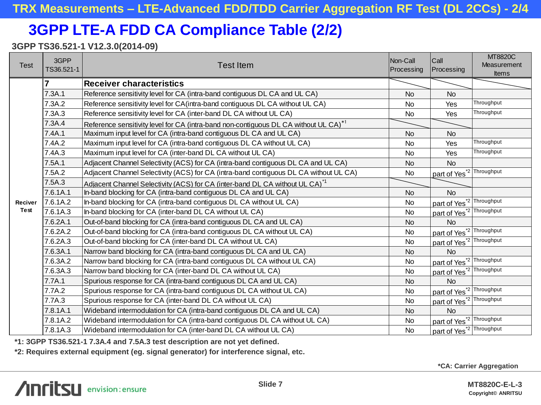### **3GPP LTE-A FDD CA Compliance Table (2/2)**

### **3GPP TS36.521-1 V12.3.0(2014-09)**

| <b>Test</b>     | 3GPP<br>TS36.521-1 | <b>Test Item</b>                                                                                 | Non-Call<br>Processing | Call<br>Processing                   | MT8820C<br>Measurement<br><b>Items</b> |
|-----------------|--------------------|--------------------------------------------------------------------------------------------------|------------------------|--------------------------------------|----------------------------------------|
| Reciver<br>Test |                    | <b>Receiver characteristics</b>                                                                  |                        |                                      |                                        |
|                 | 7.3A.1             | Reference sensitivity level for CA (intra-band contiguous DL CA and UL CA)                       | <b>No</b>              | <b>No</b>                            |                                        |
|                 | 7.3A.2             | Reference sensitivity level for CA(intra-band contiguous DL CA without UL CA)                    | No                     | Yes                                  | Throughput                             |
|                 | 7.3A.3             | Reference sensitivity level for CA (inter-band DL CA without UL CA)                              | No                     | Yes                                  | Throughput                             |
|                 | 7.3A.4             | Reference sensitivity level for CA (intra-band non-contiguous DL CA without UL CA) <sup>*1</sup> |                        |                                      |                                        |
|                 | 7.4A.1             | Maximum input level for CA (intra-band contiguous DL CA and UL CA)                               | <b>No</b>              | <b>No</b>                            |                                        |
|                 | 7.4A.2             | Maximum input level for CA (intra-band contiguous DL CA without UL CA)                           | No                     | Yes                                  | Throughput                             |
|                 | 7.4A.3             | Maximum input level for CA (inter-band DL CA without UL CA)                                      | <b>No</b>              | Yes                                  | Throughput                             |
|                 | 7.5A.1             | Adjacent Channel Selectivity (ACS) for CA (intra-band contiguous DL CA and UL CA)                | <b>No</b>              | <b>No</b>                            |                                        |
|                 | 7.5A.2             | Adjacent Channel Selectivity (ACS) for CA (intra-band contiguous DL CA without UL CA)            | <b>No</b>              | part of Yes <sup>*2</sup> Throughput |                                        |
|                 | 7.5A.3             | Adjacent Channel Selectivity (ACS) for CA (inter-band DL CA without UL CA) <sup>*1</sup>         |                        |                                      |                                        |
|                 | 7.6.1A.1           | In-band blocking for CA (intra-band contiguous DL CA and UL CA)                                  | <b>No</b>              | <b>No</b>                            |                                        |
|                 | 7.6.1A.2           | In-band blocking for CA (intra-band contiguous DL CA without UL CA)                              | <b>No</b>              | part of Yes <sup>*2</sup>            | Throughput                             |
|                 | 7.6.1A.3           | In-band blocking for CA (inter-band DL CA without UL CA)                                         | <b>No</b>              | part of Yes <sup>*2</sup> Throughput |                                        |
|                 | 7.6.2A.1           | Out-of-band blocking for CA (intra-band contiguous DL CA and UL CA)                              | <b>No</b>              | <b>No</b>                            |                                        |
|                 | 7.6.2A.2           | Out-of-band blocking for CA (intra-band contiguous DL CA without UL CA)                          | No                     | part of Yes <sup>*2</sup> Throughput |                                        |
|                 | 7.6.2A.3           | Out-of-band blocking for CA (inter-band DL CA without UL CA)                                     | No                     | part of Yes <sup>*2</sup> Throughput |                                        |
|                 | 7.6.3A.1           | Narrow band blocking for CA (intra-band contiguous DL CA and UL CA)                              | <b>No</b>              | <b>No</b>                            |                                        |
|                 | 7.6.3A.2           | Narrow band blocking for CA (intra-band contiguous DL CA without UL CA)                          | No                     | part of Yes <sup>*2</sup> Throughput |                                        |
|                 | 7.6.3A.3           | Narrow band blocking for CA (inter-band DL CA without UL CA)                                     | <b>No</b>              | part of Yes <sup>*2</sup> Throughput |                                        |
|                 | 7.7A.1             | Spurious response for CA (intra-band contiguous DL CA and UL CA)                                 | <b>No</b>              | <b>No</b>                            |                                        |
|                 | 7.7A.2             | Spurious response for CA (intra-band contiguous DL CA without UL CA)                             | No                     | part of Yes <sup>2</sup>             | Throughput                             |
|                 | 7.7A.3             | Spurious response for CA (inter-band DL CA without UL CA)                                        | <b>No</b>              | part of Yes <sup>*2</sup> Throughput |                                        |
|                 | 7.8.1A.1           | Wideband intermodulation for CA (intra-band contiguous DL CA and UL CA)                          | <b>No</b>              | <b>No</b>                            |                                        |
|                 | 7.8.1A.2           | Wideband intermodulation for CA (intra-band contiguous DL CA without UL CA)                      | <b>No</b>              | part of Yes <sup>*2</sup> Throughput |                                        |
|                 | 7.8.1A.3           | Wideband intermodulation for CA (inter-band DL CA without UL CA)                                 | No                     | part of Yes <sup>*2</sup> Throughput |                                        |

**\*1: 3GPP TS36.521-1 7.3A.4 and 7.5A.3 test description are not yet defined.**

**\*2: Requires external equipment (eg. signal generator) for interference signal, etc.**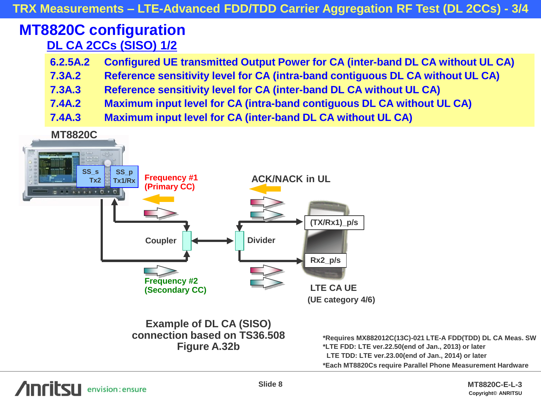### **DL CA 2CCs (SISO) 1/2 MT8820C configuration**

- **6.2.5A.2 Configured UE transmitted Output Power for CA (inter-band DL CA without UL CA)**
- **7.3A.2 Reference sensitivity level for CA (intra-band contiguous DL CA without UL CA)**
- **7.3A.3 Reference sensitivity level for CA (inter-band DL CA without UL CA)**
- **7.4A.2 Maximum input level for CA (intra-band contiguous DL CA without UL CA)**
- **7.4A.3 Maximum input level for CA (inter-band DL CA without UL CA)**



**\*Requires MX882012C(13C)-021 LTE-A FDD(TDD) DL CA Meas. SW \*LTE FDD: LTE ver.22.50(end of Jan., 2013) or later LTE TDD: LTE ver.23.00(end of Jan., 2014) or later \*Each MT8820Cs require Parallel Phone Measurement Hardware**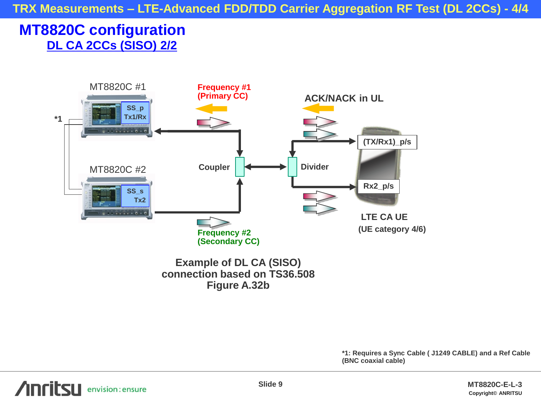### **DL CA 2CCs (SISO) 2/2 MT8820C configuration**



### **Example of DL CA (SISO) connection based on TS36.508 Figure A.32b**

**\*1: Requires a Sync Cable ( J1249 CABLE) and a Ref Cable (BNC coaxial cable)**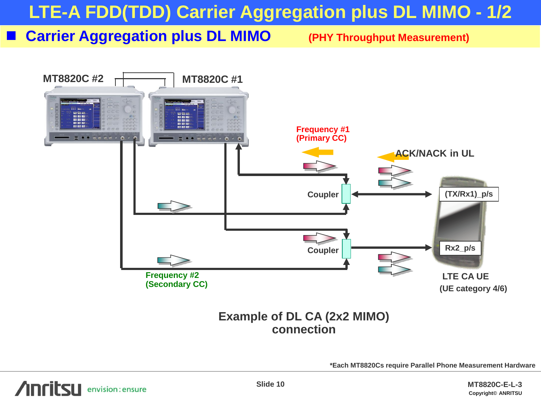## **LTE-A FDD(TDD) Carrier Aggregation plus DL MIMO - 1/2**

**Carrier Aggregation plus DL MIMO (PHY Throughput Measurement)**



**connection**

**\*Each MT8820Cs require Parallel Phone Measurement Hardware**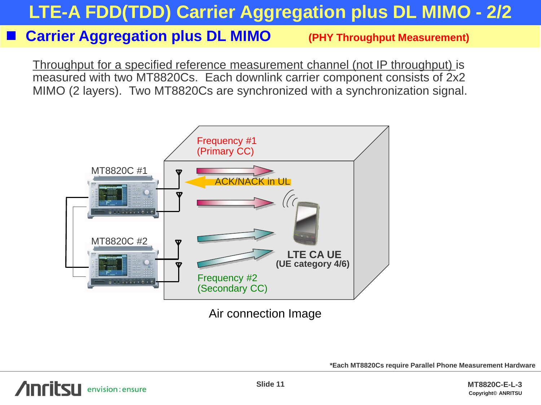## **LTE-A FDD(TDD) Carrier Aggregation plus DL MIMO - 2/2**

### **Carrier Aggregation plus DL MIMO (PHY Throughput Measurement)**

Throughput for a specified reference measurement channel (not IP throughput) is measured with two MT8820Cs. Each downlink carrier component consists of 2x2 MIMO (2 layers). Two MT8820Cs are synchronized with a synchronization signal.



Air connection Image

**\*Each MT8820Cs require Parallel Phone Measurement Hardware**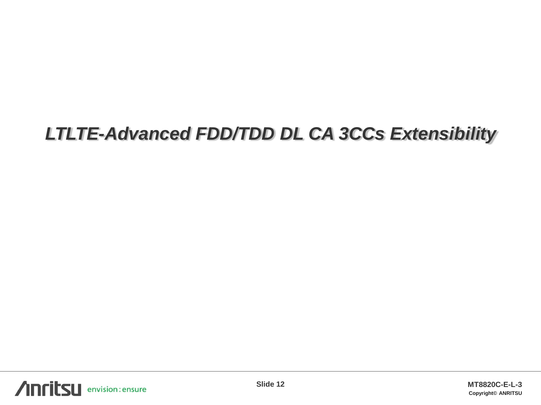## *LTLTE-Advanced FDD/TDD DL CA 3CCs Extensibility*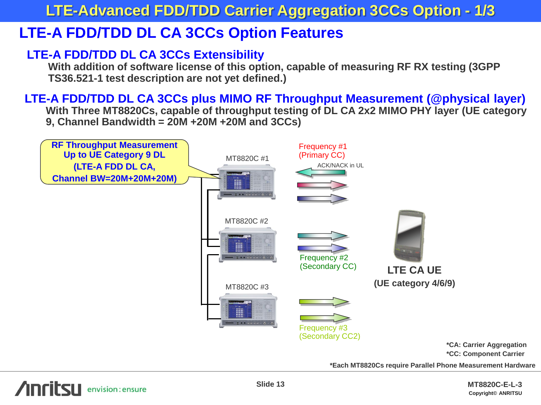**LTE-Advanced FDD/TDD Carrier Aggregation 3CCs Option - 1/3**

### **LTE-A FDD/TDD DL CA 3CCs Option Features**

### **LTE-A FDD/TDD DL CA 3CCs Extensibility**

**With addition of software license of this option, capable of measuring RF RX testing (3GPP TS36.521-1 test description are not yet defined.)** 

### **LTE-A FDD/TDD DL CA 3CCs plus MIMO RF Throughput Measurement (@physical layer)**

**With Three MT8820Cs, capable of throughput testing of DL CA 2x2 MIMO PHY layer (UE category 9, Channel Bandwidth = 20M +20M +20M and 3CCs)**

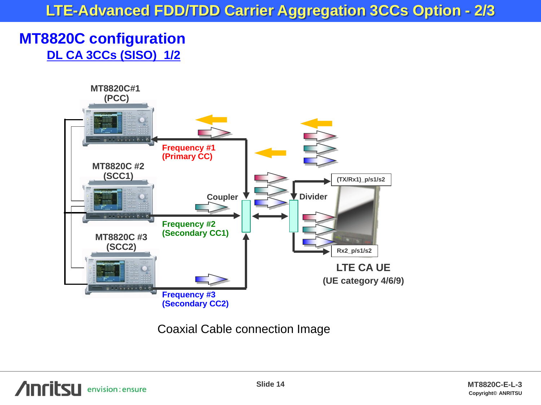### **LTE-Advanced FDD/TDD Carrier Aggregation 3CCs Option - 2/3**

### **MT8820C configuration DL CA 3CCs (SISO) 1/2**



Coaxial Cable connection Image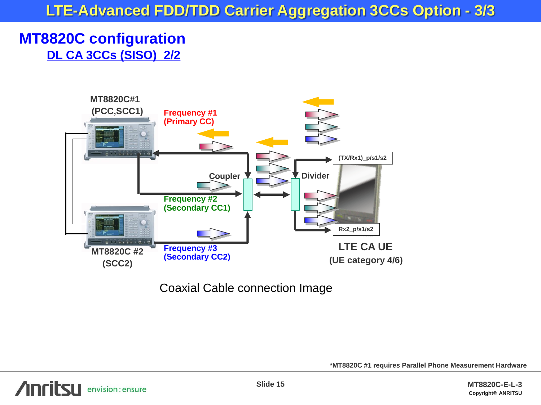### **LTE-Advanced FDD/TDD Carrier Aggregation 3CCs Option - 3/3**

### **MT8820C configuration DL CA 3CCs (SISO) 2/2**



Coaxial Cable connection Image

**\*MT8820C #1 requires Parallel Phone Measurement Hardware**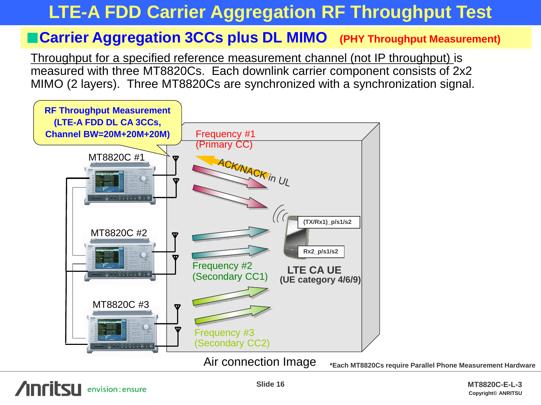## **LTE-A FDD Carrier Aggregation RF Throughput Test**

### ■**Carrier Aggregation 3CCs plus DL MIMO** (PHY Throughput Measurement)

Throughput for a specified reference measurement channel (not IP throughput) is measured with three MT8820Cs. Each downlink carrier component consists of 2x2 MIMO (2 layers). Three MT8820Cs are synchronized with a synchronization signal.



**\*Each MT8820Cs require Parallel Phone Measurement Hardware**